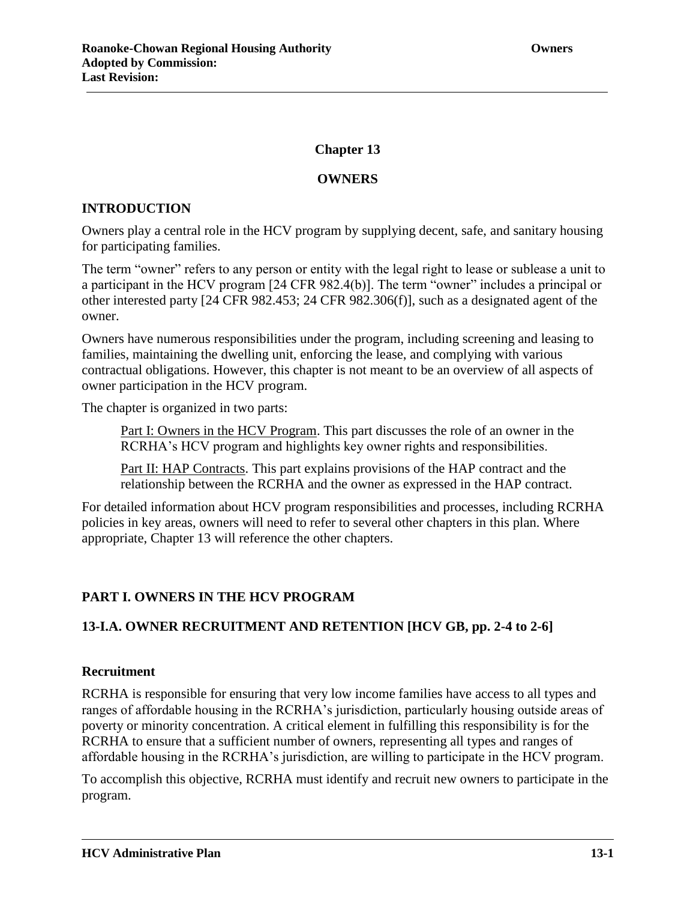# **Chapter 13**

## **OWNERS**

## **INTRODUCTION**

Owners play a central role in the HCV program by supplying decent, safe, and sanitary housing for participating families.

The term "owner" refers to any person or entity with the legal right to lease or sublease a unit to a participant in the HCV program [24 CFR 982.4(b)]. The term "owner" includes a principal or other interested party [24 CFR 982.453; 24 CFR 982.306(f)], such as a designated agent of the owner.

Owners have numerous responsibilities under the program, including screening and leasing to families, maintaining the dwelling unit, enforcing the lease, and complying with various contractual obligations. However, this chapter is not meant to be an overview of all aspects of owner participation in the HCV program.

The chapter is organized in two parts:

Part I: Owners in the HCV Program. This part discusses the role of an owner in the RCRHA's HCV program and highlights key owner rights and responsibilities.

Part II: HAP Contracts. This part explains provisions of the HAP contract and the relationship between the RCRHA and the owner as expressed in the HAP contract.

For detailed information about HCV program responsibilities and processes, including RCRHA policies in key areas, owners will need to refer to several other chapters in this plan. Where appropriate, Chapter 13 will reference the other chapters.

# **PART I. OWNERS IN THE HCV PROGRAM**

# **13-I.A. OWNER RECRUITMENT AND RETENTION [HCV GB, pp. 2-4 to 2-6]**

## **Recruitment**

RCRHA is responsible for ensuring that very low income families have access to all types and ranges of affordable housing in the RCRHA's jurisdiction, particularly housing outside areas of poverty or minority concentration. A critical element in fulfilling this responsibility is for the RCRHA to ensure that a sufficient number of owners, representing all types and ranges of affordable housing in the RCRHA's jurisdiction, are willing to participate in the HCV program.

To accomplish this objective, RCRHA must identify and recruit new owners to participate in the program.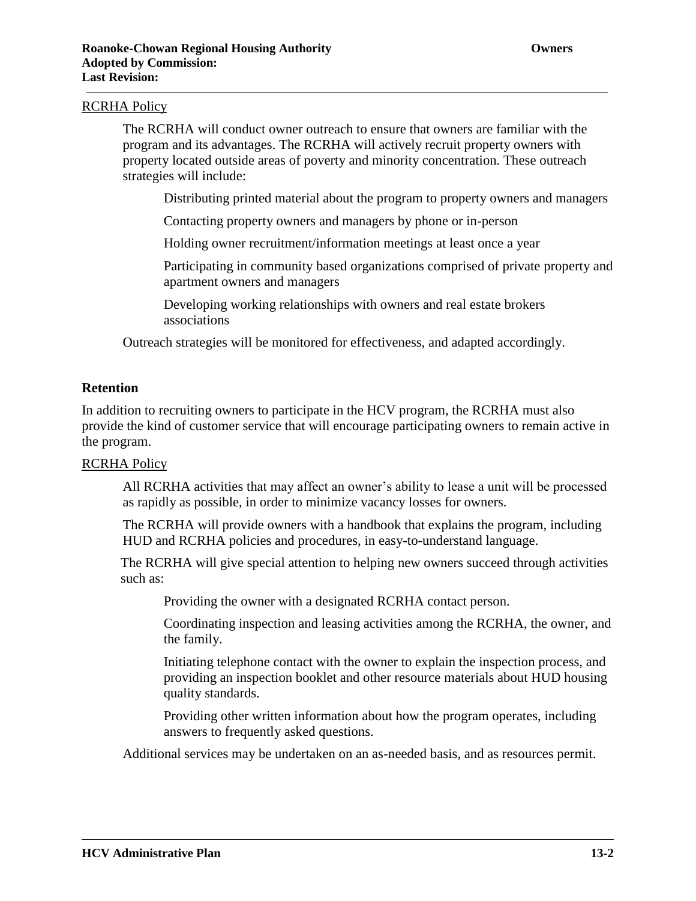### RCRHA Policy

The RCRHA will conduct owner outreach to ensure that owners are familiar with the program and its advantages. The RCRHA will actively recruit property owners with property located outside areas of poverty and minority concentration. These outreach strategies will include:

Distributing printed material about the program to property owners and managers

Contacting property owners and managers by phone or in-person

Holding owner recruitment/information meetings at least once a year

Participating in community based organizations comprised of private property and apartment owners and managers

Developing working relationships with owners and real estate brokers associations

Outreach strategies will be monitored for effectiveness, and adapted accordingly.

#### **Retention**

In addition to recruiting owners to participate in the HCV program, the RCRHA must also provide the kind of customer service that will encourage participating owners to remain active in the program.

#### RCRHA Policy

All RCRHA activities that may affect an owner's ability to lease a unit will be processed as rapidly as possible, in order to minimize vacancy losses for owners.

The RCRHA will provide owners with a handbook that explains the program, including HUD and RCRHA policies and procedures, in easy-to-understand language.

The RCRHA will give special attention to helping new owners succeed through activities such as:

Providing the owner with a designated RCRHA contact person.

Coordinating inspection and leasing activities among the RCRHA, the owner, and the family.

Initiating telephone contact with the owner to explain the inspection process, and providing an inspection booklet and other resource materials about HUD housing quality standards.

Providing other written information about how the program operates, including answers to frequently asked questions.

Additional services may be undertaken on an as-needed basis, and as resources permit.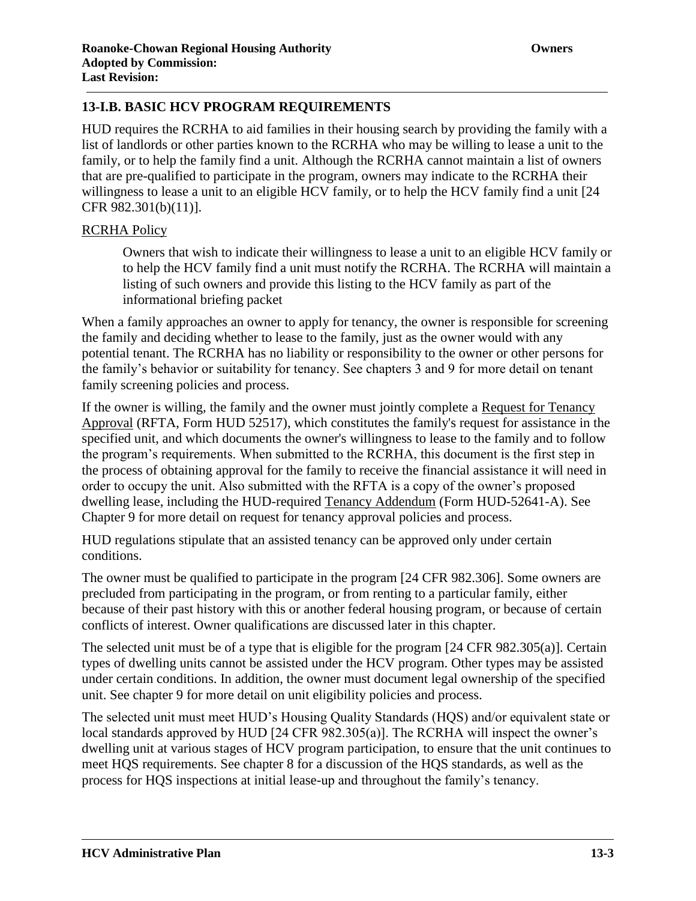HUD requires the RCRHA to aid families in their housing search by providing the family with a list of landlords or other parties known to the RCRHA who may be willing to lease a unit to the family, or to help the family find a unit. Although the RCRHA cannot maintain a list of owners that are pre-qualified to participate in the program, owners may indicate to the RCRHA their willingness to lease a unit to an eligible HCV family, or to help the HCV family find a unit [24 CFR 982.301(b)(11)].

# RCRHA Policy

Owners that wish to indicate their willingness to lease a unit to an eligible HCV family or to help the HCV family find a unit must notify the RCRHA. The RCRHA will maintain a listing of such owners and provide this listing to the HCV family as part of the informational briefing packet

When a family approaches an owner to apply for tenancy, the owner is responsible for screening the family and deciding whether to lease to the family, just as the owner would with any potential tenant. The RCRHA has no liability or responsibility to the owner or other persons for the family's behavior or suitability for tenancy. See chapters 3 and 9 for more detail on tenant family screening policies and process.

If the owner is willing, the family and the owner must jointly complete a Request for Tenancy Approval (RFTA, Form HUD 52517), which constitutes the family's request for assistance in the specified unit, and which documents the owner's willingness to lease to the family and to follow the program's requirements. When submitted to the RCRHA, this document is the first step in the process of obtaining approval for the family to receive the financial assistance it will need in order to occupy the unit. Also submitted with the RFTA is a copy of the owner's proposed dwelling lease, including the HUD-required Tenancy Addendum (Form HUD-52641-A). See Chapter 9 for more detail on request for tenancy approval policies and process.

HUD regulations stipulate that an assisted tenancy can be approved only under certain conditions.

The owner must be qualified to participate in the program [24 CFR 982.306]. Some owners are precluded from participating in the program, or from renting to a particular family, either because of their past history with this or another federal housing program, or because of certain conflicts of interest. Owner qualifications are discussed later in this chapter.

The selected unit must be of a type that is eligible for the program [24 CFR 982.305(a)]. Certain types of dwelling units cannot be assisted under the HCV program. Other types may be assisted under certain conditions. In addition, the owner must document legal ownership of the specified unit. See chapter 9 for more detail on unit eligibility policies and process.

The selected unit must meet HUD's Housing Quality Standards (HQS) and/or equivalent state or local standards approved by HUD [24 CFR 982.305(a)]. The RCRHA will inspect the owner's dwelling unit at various stages of HCV program participation, to ensure that the unit continues to meet HQS requirements. See chapter 8 for a discussion of the HQS standards, as well as the process for HQS inspections at initial lease-up and throughout the family's tenancy.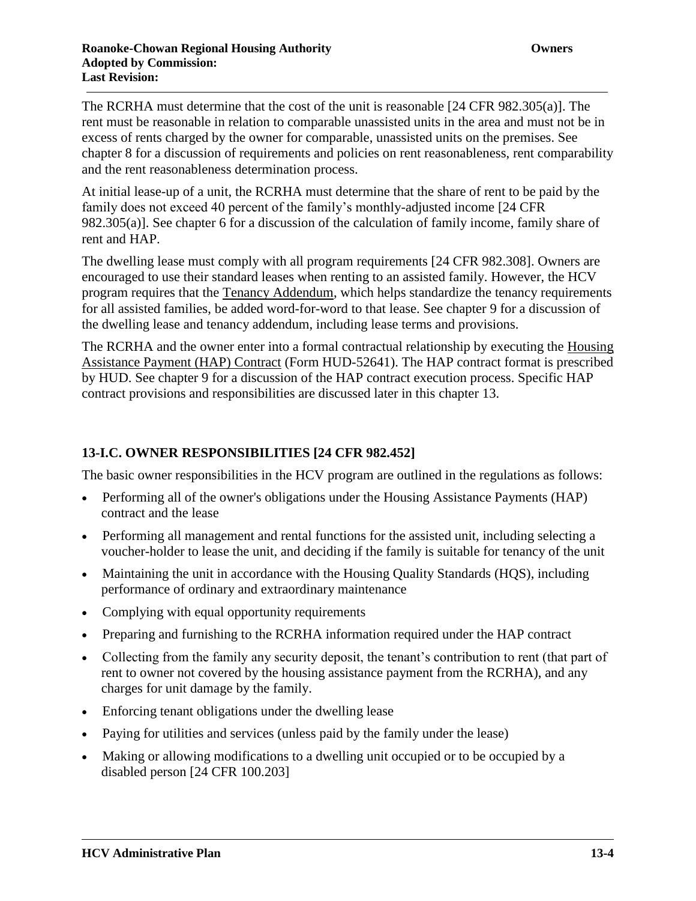The RCRHA must determine that the cost of the unit is reasonable [24 CFR 982.305(a)]. The rent must be reasonable in relation to comparable unassisted units in the area and must not be in excess of rents charged by the owner for comparable, unassisted units on the premises. See chapter 8 for a discussion of requirements and policies on rent reasonableness, rent comparability and the rent reasonableness determination process.

At initial lease-up of a unit, the RCRHA must determine that the share of rent to be paid by the family does not exceed 40 percent of the family's monthly-adjusted income [24 CFR 982.305(a)]. See chapter 6 for a discussion of the calculation of family income, family share of rent and HAP.

The dwelling lease must comply with all program requirements [24 CFR 982.308]. Owners are encouraged to use their standard leases when renting to an assisted family. However, the HCV program requires that the Tenancy Addendum, which helps standardize the tenancy requirements for all assisted families, be added word-for-word to that lease. See chapter 9 for a discussion of the dwelling lease and tenancy addendum, including lease terms and provisions.

The RCRHA and the owner enter into a formal contractual relationship by executing the Housing Assistance Payment (HAP) Contract (Form HUD-52641). The HAP contract format is prescribed by HUD. See chapter 9 for a discussion of the HAP contract execution process. Specific HAP contract provisions and responsibilities are discussed later in this chapter 13.

# **13-I.C. OWNER RESPONSIBILITIES [24 CFR 982.452]**

The basic owner responsibilities in the HCV program are outlined in the regulations as follows:

- Performing all of the owner's obligations under the Housing Assistance Payments (HAP) contract and the lease
- Performing all management and rental functions for the assisted unit, including selecting a voucher-holder to lease the unit, and deciding if the family is suitable for tenancy of the unit
- Maintaining the unit in accordance with the Housing Quality Standards (HQS), including performance of ordinary and extraordinary maintenance
- Complying with equal opportunity requirements
- Preparing and furnishing to the RCRHA information required under the HAP contract
- Collecting from the family any security deposit, the tenant's contribution to rent (that part of rent to owner not covered by the housing assistance payment from the RCRHA), and any charges for unit damage by the family.
- Enforcing tenant obligations under the dwelling lease
- Paying for utilities and services (unless paid by the family under the lease)
- Making or allowing modifications to a dwelling unit occupied or to be occupied by a disabled person [24 CFR 100.203]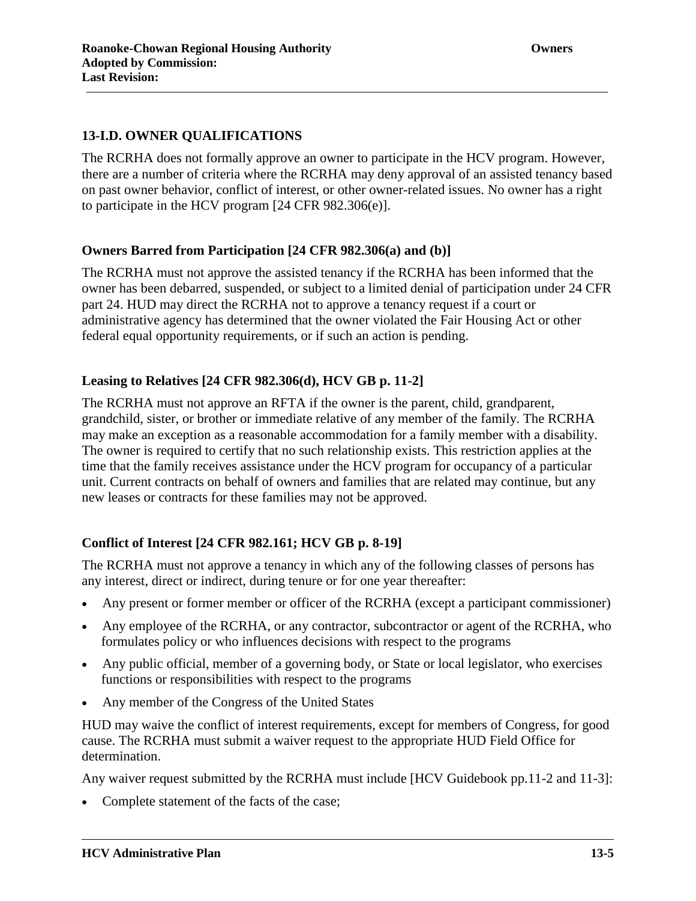# **13-I.D. OWNER QUALIFICATIONS**

The RCRHA does not formally approve an owner to participate in the HCV program. However, there are a number of criteria where the RCRHA may deny approval of an assisted tenancy based on past owner behavior, conflict of interest, or other owner-related issues. No owner has a right to participate in the HCV program [24 CFR 982.306(e)].

## **Owners Barred from Participation [24 CFR 982.306(a) and (b)]**

The RCRHA must not approve the assisted tenancy if the RCRHA has been informed that the owner has been debarred, suspended, or subject to a limited denial of participation under 24 CFR part 24. HUD may direct the RCRHA not to approve a tenancy request if a court or administrative agency has determined that the owner violated the Fair Housing Act or other federal equal opportunity requirements, or if such an action is pending.

# **Leasing to Relatives [24 CFR 982.306(d), HCV GB p. 11-2]**

The RCRHA must not approve an RFTA if the owner is the parent, child, grandparent, grandchild, sister, or brother or immediate relative of any member of the family. The RCRHA may make an exception as a reasonable accommodation for a family member with a disability. The owner is required to certify that no such relationship exists. This restriction applies at the time that the family receives assistance under the HCV program for occupancy of a particular unit. Current contracts on behalf of owners and families that are related may continue, but any new leases or contracts for these families may not be approved.

# **Conflict of Interest [24 CFR 982.161; HCV GB p. 8-19]**

The RCRHA must not approve a tenancy in which any of the following classes of persons has any interest, direct or indirect, during tenure or for one year thereafter:

- Any present or former member or officer of the RCRHA (except a participant commissioner)
- Any employee of the RCRHA, or any contractor, subcontractor or agent of the RCRHA, who formulates policy or who influences decisions with respect to the programs
- Any public official, member of a governing body, or State or local legislator, who exercises functions or responsibilities with respect to the programs
- Any member of the Congress of the United States

HUD may waive the conflict of interest requirements, except for members of Congress, for good cause. The RCRHA must submit a waiver request to the appropriate HUD Field Office for determination.

Any waiver request submitted by the RCRHA must include [HCV Guidebook pp.11-2 and 11-3]:

• Complete statement of the facts of the case;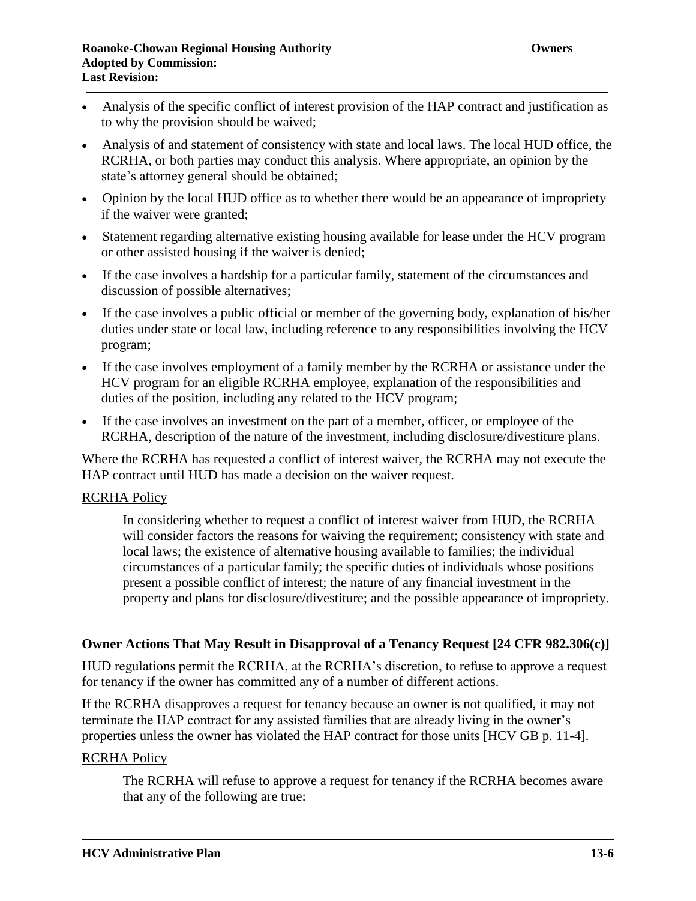- Analysis of the specific conflict of interest provision of the HAP contract and justification as to why the provision should be waived;
- Analysis of and statement of consistency with state and local laws. The local HUD office, the RCRHA, or both parties may conduct this analysis. Where appropriate, an opinion by the state's attorney general should be obtained;
- Opinion by the local HUD office as to whether there would be an appearance of impropriety if the waiver were granted;
- Statement regarding alternative existing housing available for lease under the HCV program or other assisted housing if the waiver is denied;
- If the case involves a hardship for a particular family, statement of the circumstances and discussion of possible alternatives;
- If the case involves a public official or member of the governing body, explanation of his/her duties under state or local law, including reference to any responsibilities involving the HCV program;
- If the case involves employment of a family member by the RCRHA or assistance under the HCV program for an eligible RCRHA employee, explanation of the responsibilities and duties of the position, including any related to the HCV program;
- If the case involves an investment on the part of a member, officer, or employee of the RCRHA, description of the nature of the investment, including disclosure/divestiture plans.

Where the RCRHA has requested a conflict of interest waiver, the RCRHA may not execute the HAP contract until HUD has made a decision on the waiver request.

## **RCRHA Policy**

In considering whether to request a conflict of interest waiver from HUD, the RCRHA will consider factors the reasons for waiving the requirement; consistency with state and local laws; the existence of alternative housing available to families; the individual circumstances of a particular family; the specific duties of individuals whose positions present a possible conflict of interest; the nature of any financial investment in the property and plans for disclosure/divestiture; and the possible appearance of impropriety.

## **Owner Actions That May Result in Disapproval of a Tenancy Request [24 CFR 982.306(c)]**

HUD regulations permit the RCRHA, at the RCRHA's discretion, to refuse to approve a request for tenancy if the owner has committed any of a number of different actions.

If the RCRHA disapproves a request for tenancy because an owner is not qualified, it may not terminate the HAP contract for any assisted families that are already living in the owner's properties unless the owner has violated the HAP contract for those units [HCV GB p. 11-4].

## RCRHA Policy

The RCRHA will refuse to approve a request for tenancy if the RCRHA becomes aware that any of the following are true: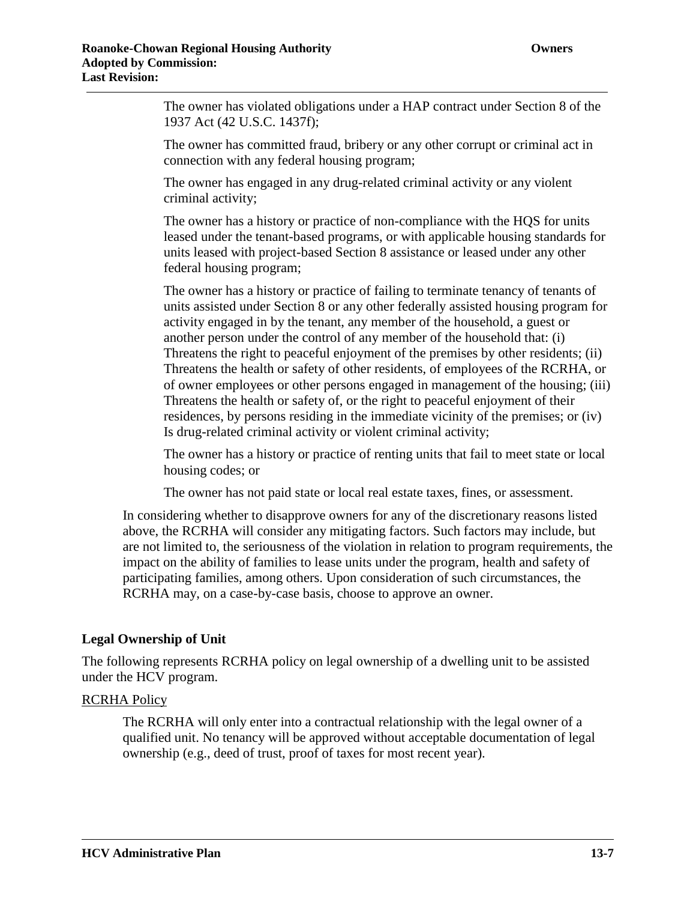The owner has violated obligations under a HAP contract under Section 8 of the 1937 Act (42 U.S.C. 1437f);

The owner has committed fraud, bribery or any other corrupt or criminal act in connection with any federal housing program;

The owner has engaged in any drug-related criminal activity or any violent criminal activity;

The owner has a history or practice of non-compliance with the HQS for units leased under the tenant-based programs, or with applicable housing standards for units leased with project-based Section 8 assistance or leased under any other federal housing program;

The owner has a history or practice of failing to terminate tenancy of tenants of units assisted under Section 8 or any other federally assisted housing program for activity engaged in by the tenant, any member of the household, a guest or another person under the control of any member of the household that: (i) Threatens the right to peaceful enjoyment of the premises by other residents; (ii) Threatens the health or safety of other residents, of employees of the RCRHA, or of owner employees or other persons engaged in management of the housing; (iii) Threatens the health or safety of, or the right to peaceful enjoyment of their residences, by persons residing in the immediate vicinity of the premises; or (iv) Is drug-related criminal activity or violent criminal activity;

The owner has a history or practice of renting units that fail to meet state or local housing codes; or

The owner has not paid state or local real estate taxes, fines, or assessment.

In considering whether to disapprove owners for any of the discretionary reasons listed above, the RCRHA will consider any mitigating factors. Such factors may include, but are not limited to, the seriousness of the violation in relation to program requirements, the impact on the ability of families to lease units under the program, health and safety of participating families, among others. Upon consideration of such circumstances, the RCRHA may, on a case-by-case basis, choose to approve an owner.

#### **Legal Ownership of Unit**

The following represents RCRHA policy on legal ownership of a dwelling unit to be assisted under the HCV program.

#### RCRHA Policy

The RCRHA will only enter into a contractual relationship with the legal owner of a qualified unit. No tenancy will be approved without acceptable documentation of legal ownership (e.g., deed of trust, proof of taxes for most recent year).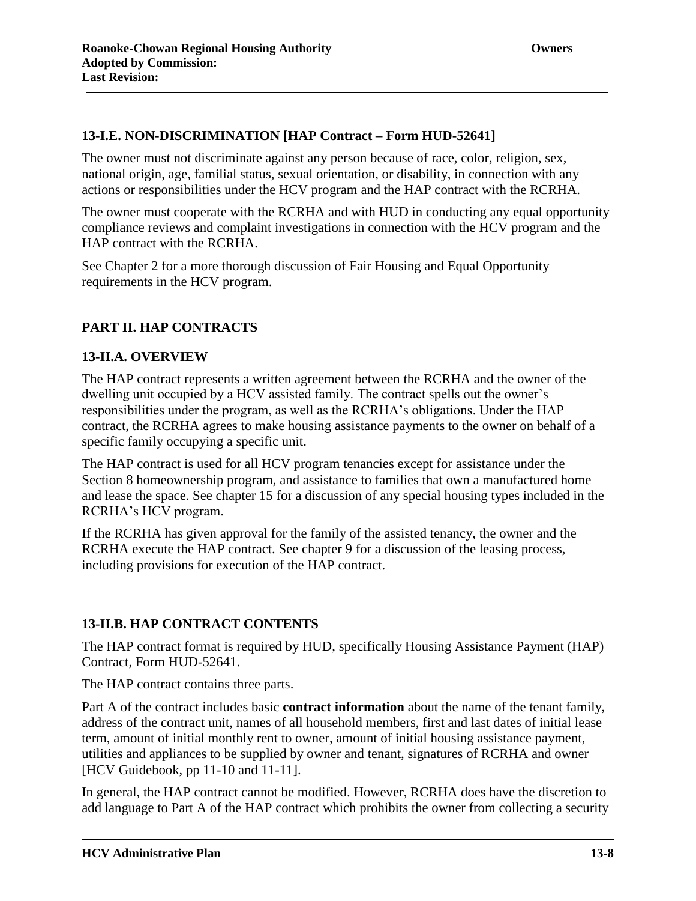The owner must not discriminate against any person because of race, color, religion, sex, national origin, age, familial status, sexual orientation, or disability, in connection with any actions or responsibilities under the HCV program and the HAP contract with the RCRHA.

The owner must cooperate with the RCRHA and with HUD in conducting any equal opportunity compliance reviews and complaint investigations in connection with the HCV program and the HAP contract with the RCRHA.

See Chapter 2 for a more thorough discussion of Fair Housing and Equal Opportunity requirements in the HCV program.

# **PART II. HAP CONTRACTS**

# **13-II.A. OVERVIEW**

The HAP contract represents a written agreement between the RCRHA and the owner of the dwelling unit occupied by a HCV assisted family. The contract spells out the owner's responsibilities under the program, as well as the RCRHA's obligations. Under the HAP contract, the RCRHA agrees to make housing assistance payments to the owner on behalf of a specific family occupying a specific unit.

The HAP contract is used for all HCV program tenancies except for assistance under the Section 8 homeownership program, and assistance to families that own a manufactured home and lease the space. See chapter 15 for a discussion of any special housing types included in the RCRHA's HCV program.

If the RCRHA has given approval for the family of the assisted tenancy, the owner and the RCRHA execute the HAP contract. See chapter 9 for a discussion of the leasing process, including provisions for execution of the HAP contract.

# **13-II.B. HAP CONTRACT CONTENTS**

The HAP contract format is required by HUD, specifically Housing Assistance Payment (HAP) Contract, Form HUD-52641.

The HAP contract contains three parts.

Part A of the contract includes basic **contract information** about the name of the tenant family, address of the contract unit, names of all household members, first and last dates of initial lease term, amount of initial monthly rent to owner, amount of initial housing assistance payment, utilities and appliances to be supplied by owner and tenant, signatures of RCRHA and owner [HCV Guidebook, pp 11-10 and 11-11].

In general, the HAP contract cannot be modified. However, RCRHA does have the discretion to add language to Part A of the HAP contract which prohibits the owner from collecting a security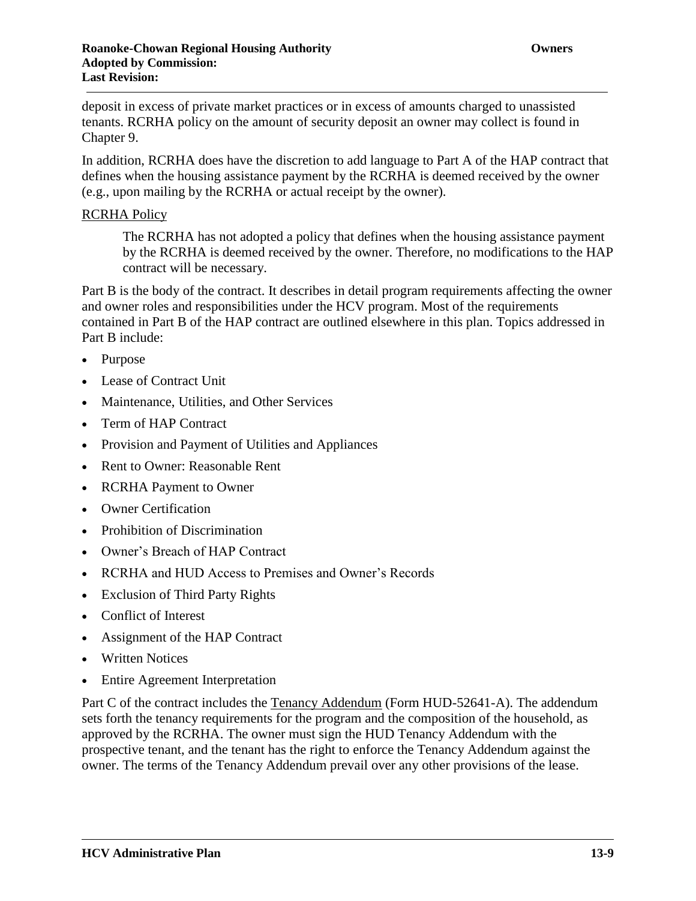deposit in excess of private market practices or in excess of amounts charged to unassisted tenants. RCRHA policy on the amount of security deposit an owner may collect is found in Chapter 9.

In addition, RCRHA does have the discretion to add language to Part A of the HAP contract that defines when the housing assistance payment by the RCRHA is deemed received by the owner (e.g., upon mailing by the RCRHA or actual receipt by the owner).

#### RCRHA Policy

The RCRHA has not adopted a policy that defines when the housing assistance payment by the RCRHA is deemed received by the owner. Therefore, no modifications to the HAP contract will be necessary.

Part B is the body of the contract. It describes in detail program requirements affecting the owner and owner roles and responsibilities under the HCV program. Most of the requirements contained in Part B of the HAP contract are outlined elsewhere in this plan. Topics addressed in Part B include:

- Purpose
- Lease of Contract Unit
- Maintenance, Utilities, and Other Services
- Term of HAP Contract
- Provision and Payment of Utilities and Appliances
- Rent to Owner: Reasonable Rent
- RCRHA Payment to Owner
- Owner Certification
- Prohibition of Discrimination
- Owner's Breach of HAP Contract
- RCRHA and HUD Access to Premises and Owner's Records
- Exclusion of Third Party Rights
- Conflict of Interest
- Assignment of the HAP Contract
- Written Notices
- Entire Agreement Interpretation

Part C of the contract includes the Tenancy Addendum (Form HUD-52641-A). The addendum sets forth the tenancy requirements for the program and the composition of the household, as approved by the RCRHA. The owner must sign the HUD Tenancy Addendum with the prospective tenant, and the tenant has the right to enforce the Tenancy Addendum against the owner. The terms of the Tenancy Addendum prevail over any other provisions of the lease.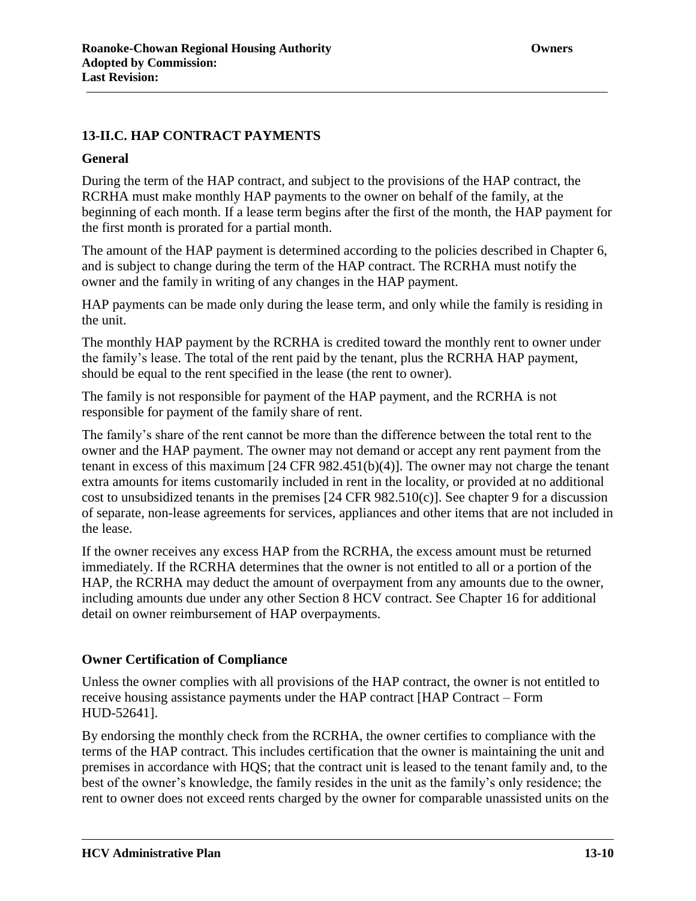# **General**

During the term of the HAP contract, and subject to the provisions of the HAP contract, the RCRHA must make monthly HAP payments to the owner on behalf of the family, at the beginning of each month. If a lease term begins after the first of the month, the HAP payment for the first month is prorated for a partial month.

The amount of the HAP payment is determined according to the policies described in Chapter 6, and is subject to change during the term of the HAP contract. The RCRHA must notify the owner and the family in writing of any changes in the HAP payment.

HAP payments can be made only during the lease term, and only while the family is residing in the unit.

The monthly HAP payment by the RCRHA is credited toward the monthly rent to owner under the family's lease. The total of the rent paid by the tenant, plus the RCRHA HAP payment, should be equal to the rent specified in the lease (the rent to owner).

The family is not responsible for payment of the HAP payment, and the RCRHA is not responsible for payment of the family share of rent.

The family's share of the rent cannot be more than the difference between the total rent to the owner and the HAP payment. The owner may not demand or accept any rent payment from the tenant in excess of this maximum [24 CFR 982.451(b)(4)]. The owner may not charge the tenant extra amounts for items customarily included in rent in the locality, or provided at no additional cost to unsubsidized tenants in the premises [24 CFR 982.510(c)]. See chapter 9 for a discussion of separate, non-lease agreements for services, appliances and other items that are not included in the lease.

If the owner receives any excess HAP from the RCRHA, the excess amount must be returned immediately. If the RCRHA determines that the owner is not entitled to all or a portion of the HAP, the RCRHA may deduct the amount of overpayment from any amounts due to the owner, including amounts due under any other Section 8 HCV contract. See Chapter 16 for additional detail on owner reimbursement of HAP overpayments.

# **Owner Certification of Compliance**

Unless the owner complies with all provisions of the HAP contract, the owner is not entitled to receive housing assistance payments under the HAP contract [HAP Contract – Form HUD-52641].

By endorsing the monthly check from the RCRHA, the owner certifies to compliance with the terms of the HAP contract. This includes certification that the owner is maintaining the unit and premises in accordance with HQS; that the contract unit is leased to the tenant family and, to the best of the owner's knowledge, the family resides in the unit as the family's only residence; the rent to owner does not exceed rents charged by the owner for comparable unassisted units on the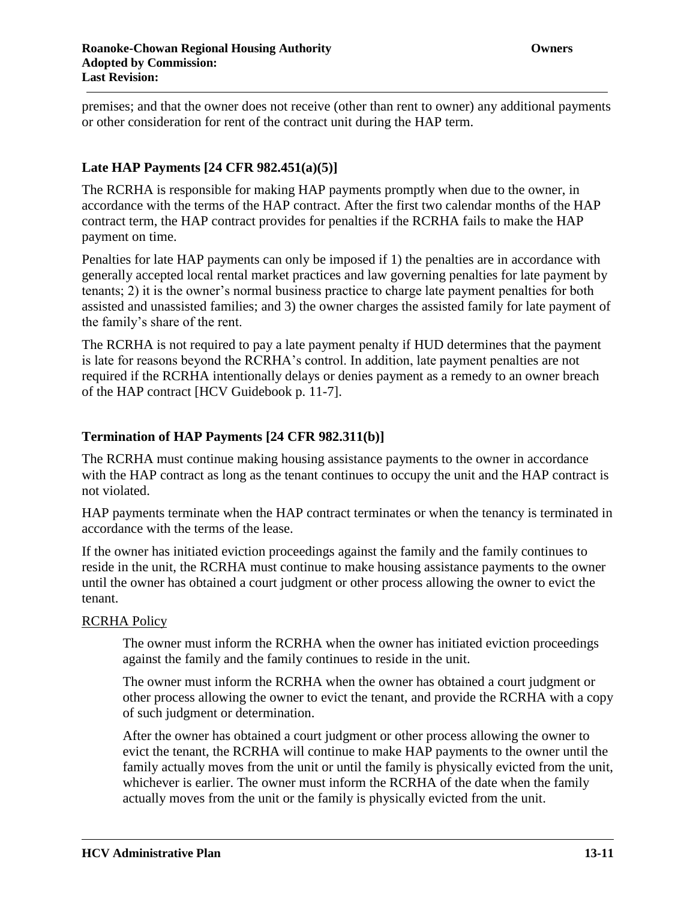premises; and that the owner does not receive (other than rent to owner) any additional payments or other consideration for rent of the contract unit during the HAP term.

# **Late HAP Payments [24 CFR 982.451(a)(5)]**

The RCRHA is responsible for making HAP payments promptly when due to the owner, in accordance with the terms of the HAP contract. After the first two calendar months of the HAP contract term, the HAP contract provides for penalties if the RCRHA fails to make the HAP payment on time.

Penalties for late HAP payments can only be imposed if 1) the penalties are in accordance with generally accepted local rental market practices and law governing penalties for late payment by tenants; 2) it is the owner's normal business practice to charge late payment penalties for both assisted and unassisted families; and 3) the owner charges the assisted family for late payment of the family's share of the rent.

The RCRHA is not required to pay a late payment penalty if HUD determines that the payment is late for reasons beyond the RCRHA's control. In addition, late payment penalties are not required if the RCRHA intentionally delays or denies payment as a remedy to an owner breach of the HAP contract [HCV Guidebook p. 11-7].

# **Termination of HAP Payments [24 CFR 982.311(b)]**

The RCRHA must continue making housing assistance payments to the owner in accordance with the HAP contract as long as the tenant continues to occupy the unit and the HAP contract is not violated.

HAP payments terminate when the HAP contract terminates or when the tenancy is terminated in accordance with the terms of the lease.

If the owner has initiated eviction proceedings against the family and the family continues to reside in the unit, the RCRHA must continue to make housing assistance payments to the owner until the owner has obtained a court judgment or other process allowing the owner to evict the tenant.

## RCRHA Policy

The owner must inform the RCRHA when the owner has initiated eviction proceedings against the family and the family continues to reside in the unit.

The owner must inform the RCRHA when the owner has obtained a court judgment or other process allowing the owner to evict the tenant, and provide the RCRHA with a copy of such judgment or determination.

After the owner has obtained a court judgment or other process allowing the owner to evict the tenant, the RCRHA will continue to make HAP payments to the owner until the family actually moves from the unit or until the family is physically evicted from the unit, whichever is earlier. The owner must inform the RCRHA of the date when the family actually moves from the unit or the family is physically evicted from the unit.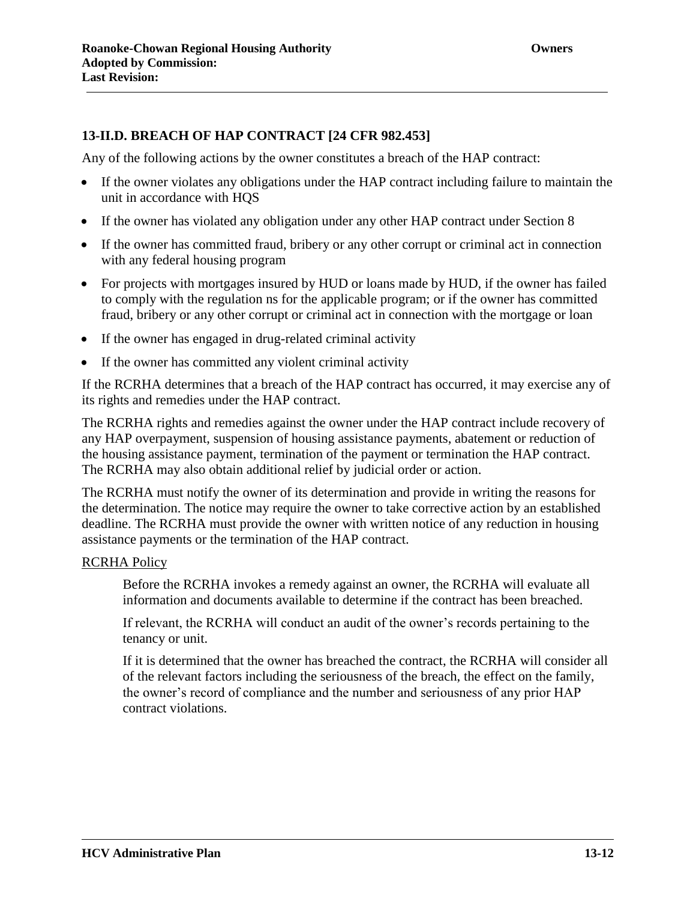## **13-II.D. BREACH OF HAP CONTRACT [24 CFR 982.453]**

Any of the following actions by the owner constitutes a breach of the HAP contract:

- If the owner violates any obligations under the HAP contract including failure to maintain the unit in accordance with HQS
- If the owner has violated any obligation under any other HAP contract under Section 8
- If the owner has committed fraud, bribery or any other corrupt or criminal act in connection with any federal housing program
- For projects with mortgages insured by HUD or loans made by HUD, if the owner has failed to comply with the regulation ns for the applicable program; or if the owner has committed fraud, bribery or any other corrupt or criminal act in connection with the mortgage or loan
- If the owner has engaged in drug-related criminal activity
- If the owner has committed any violent criminal activity

If the RCRHA determines that a breach of the HAP contract has occurred, it may exercise any of its rights and remedies under the HAP contract.

The RCRHA rights and remedies against the owner under the HAP contract include recovery of any HAP overpayment, suspension of housing assistance payments, abatement or reduction of the housing assistance payment, termination of the payment or termination the HAP contract. The RCRHA may also obtain additional relief by judicial order or action.

The RCRHA must notify the owner of its determination and provide in writing the reasons for the determination. The notice may require the owner to take corrective action by an established deadline. The RCRHA must provide the owner with written notice of any reduction in housing assistance payments or the termination of the HAP contract.

## RCRHA Policy

Before the RCRHA invokes a remedy against an owner, the RCRHA will evaluate all information and documents available to determine if the contract has been breached.

If relevant, the RCRHA will conduct an audit of the owner's records pertaining to the tenancy or unit.

If it is determined that the owner has breached the contract, the RCRHA will consider all of the relevant factors including the seriousness of the breach, the effect on the family, the owner's record of compliance and the number and seriousness of any prior HAP contract violations.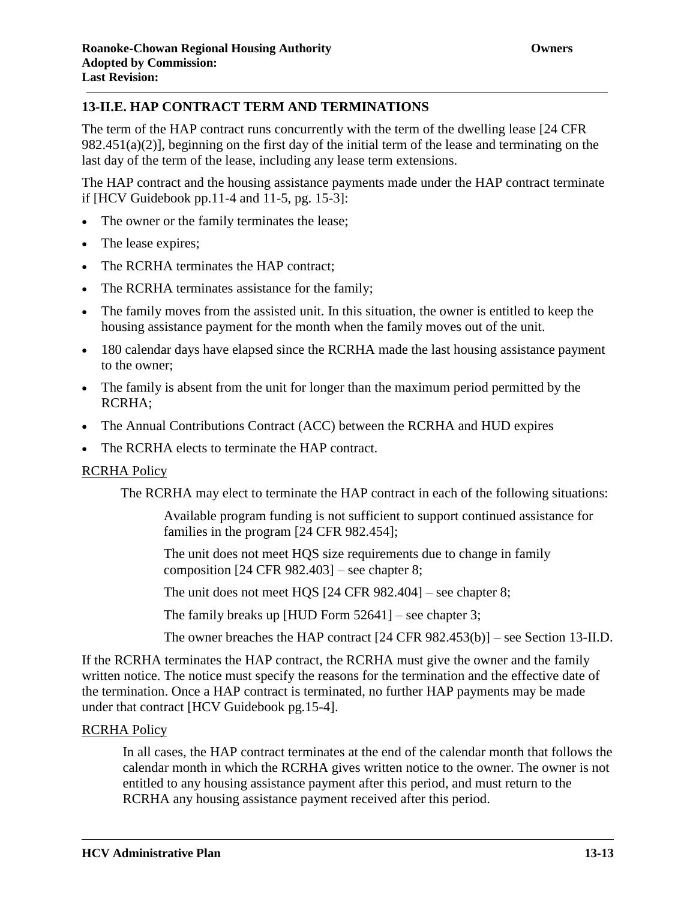The term of the HAP contract runs concurrently with the term of the dwelling lease [24 CFR 982.451(a)(2)], beginning on the first day of the initial term of the lease and terminating on the last day of the term of the lease, including any lease term extensions.

The HAP contract and the housing assistance payments made under the HAP contract terminate if [HCV Guidebook pp.11-4 and 11-5, pg. 15-3]:

- The owner or the family terminates the lease;
- The lease expires;
- The RCRHA terminates the HAP contract:
- The RCRHA terminates assistance for the family;
- The family moves from the assisted unit. In this situation, the owner is entitled to keep the housing assistance payment for the month when the family moves out of the unit.
- 180 calendar days have elapsed since the RCRHA made the last housing assistance payment to the owner;
- The family is absent from the unit for longer than the maximum period permitted by the RCRHA;
- The Annual Contributions Contract (ACC) between the RCRHA and HUD expires
- The RCRHA elects to terminate the HAP contract.

## RCRHA Policy

The RCRHA may elect to terminate the HAP contract in each of the following situations:

Available program funding is not sufficient to support continued assistance for families in the program [24 CFR 982.454];

The unit does not meet HQS size requirements due to change in family composition [24 CFR 982.403] – see chapter 8;

The unit does not meet HQS [24 CFR 982.404] – see chapter 8;

The family breaks up [HUD Form 52641] – see chapter 3;

The owner breaches the HAP contract [24 CFR 982.453(b)] – see Section 13-II.D.

If the RCRHA terminates the HAP contract, the RCRHA must give the owner and the family written notice. The notice must specify the reasons for the termination and the effective date of the termination. Once a HAP contract is terminated, no further HAP payments may be made under that contract [HCV Guidebook pg.15-4].

## RCRHA Policy

In all cases, the HAP contract terminates at the end of the calendar month that follows the calendar month in which the RCRHA gives written notice to the owner. The owner is not entitled to any housing assistance payment after this period, and must return to the RCRHA any housing assistance payment received after this period.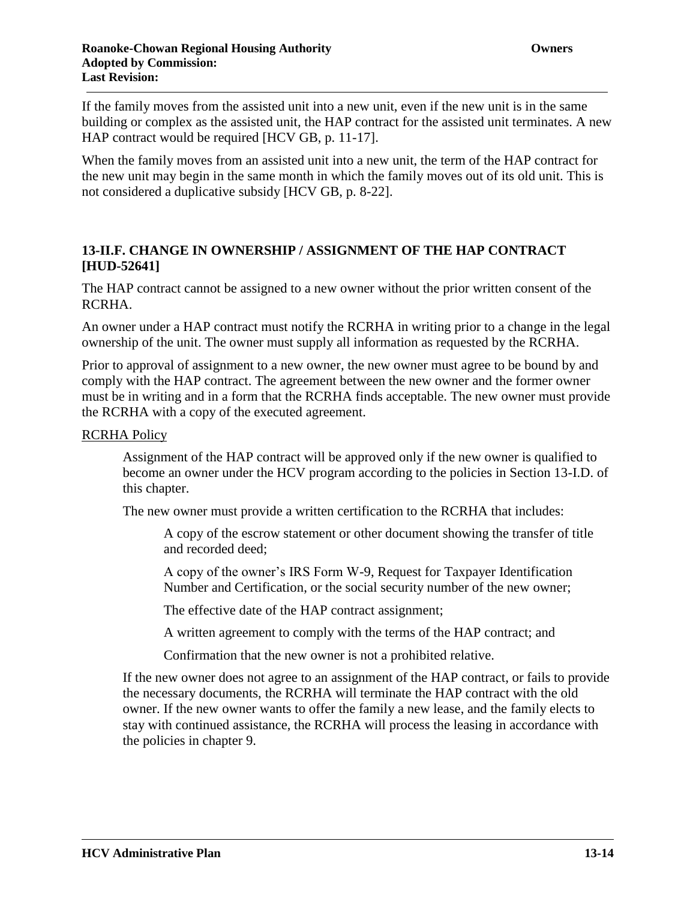If the family moves from the assisted unit into a new unit, even if the new unit is in the same building or complex as the assisted unit, the HAP contract for the assisted unit terminates. A new HAP contract would be required [HCV GB, p. 11-17].

When the family moves from an assisted unit into a new unit, the term of the HAP contract for the new unit may begin in the same month in which the family moves out of its old unit. This is not considered a duplicative subsidy [HCV GB, p. 8-22].

# **13-II.F. CHANGE IN OWNERSHIP / ASSIGNMENT OF THE HAP CONTRACT [HUD-52641]**

The HAP contract cannot be assigned to a new owner without the prior written consent of the RCRHA.

An owner under a HAP contract must notify the RCRHA in writing prior to a change in the legal ownership of the unit. The owner must supply all information as requested by the RCRHA.

Prior to approval of assignment to a new owner, the new owner must agree to be bound by and comply with the HAP contract. The agreement between the new owner and the former owner must be in writing and in a form that the RCRHA finds acceptable. The new owner must provide the RCRHA with a copy of the executed agreement.

## RCRHA Policy

Assignment of the HAP contract will be approved only if the new owner is qualified to become an owner under the HCV program according to the policies in Section 13-I.D. of this chapter.

The new owner must provide a written certification to the RCRHA that includes:

A copy of the escrow statement or other document showing the transfer of title and recorded deed;

A copy of the owner's IRS Form W-9, Request for Taxpayer Identification Number and Certification, or the social security number of the new owner;

The effective date of the HAP contract assignment;

A written agreement to comply with the terms of the HAP contract; and

Confirmation that the new owner is not a prohibited relative.

If the new owner does not agree to an assignment of the HAP contract, or fails to provide the necessary documents, the RCRHA will terminate the HAP contract with the old owner. If the new owner wants to offer the family a new lease, and the family elects to stay with continued assistance, the RCRHA will process the leasing in accordance with the policies in chapter 9.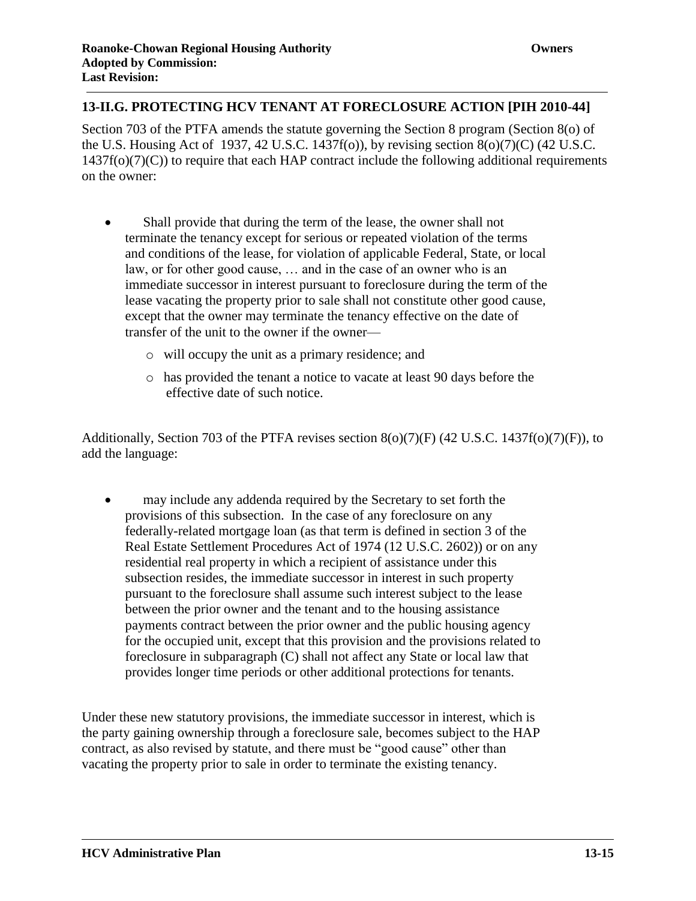# **13-II.G. PROTECTING HCV TENANT AT FORECLOSURE ACTION [PIH 2010-44]**

Section 703 of the PTFA amends the statute governing the Section 8 program (Section 8(o) of the U.S. Housing Act of 1937, 42 U.S.C. 1437f(o)), by revising section 8(o)(7)(C) (42 U.S.C.  $1437f(o)(7)(C)$ ) to require that each HAP contract include the following additional requirements on the owner:

- Shall provide that during the term of the lease, the owner shall not terminate the tenancy except for serious or repeated violation of the terms and conditions of the lease, for violation of applicable Federal, State, or local law, or for other good cause, … and in the case of an owner who is an immediate successor in interest pursuant to foreclosure during the term of the lease vacating the property prior to sale shall not constitute other good cause, except that the owner may terminate the tenancy effective on the date of transfer of the unit to the owner if the owner
	- o will occupy the unit as a primary residence; and
	- o has provided the tenant a notice to vacate at least 90 days before the effective date of such notice.

Additionally, Section 703 of the PTFA revises section 8(o)(7)(F) (42 U.S.C. 1437f(o)(7)(F)), to add the language:

 may include any addenda required by the Secretary to set forth the provisions of this subsection. In the case of any foreclosure on any federally-related mortgage loan (as that term is defined in section 3 of the Real Estate Settlement Procedures Act of 1974 (12 U.S.C. 2602)) or on any residential real property in which a recipient of assistance under this subsection resides, the immediate successor in interest in such property pursuant to the foreclosure shall assume such interest subject to the lease between the prior owner and the tenant and to the housing assistance payments contract between the prior owner and the public housing agency for the occupied unit, except that this provision and the provisions related to foreclosure in subparagraph (C) shall not affect any State or local law that provides longer time periods or other additional protections for tenants.

Under these new statutory provisions, the immediate successor in interest, which is the party gaining ownership through a foreclosure sale, becomes subject to the HAP contract, as also revised by statute, and there must be "good cause" other than vacating the property prior to sale in order to terminate the existing tenancy.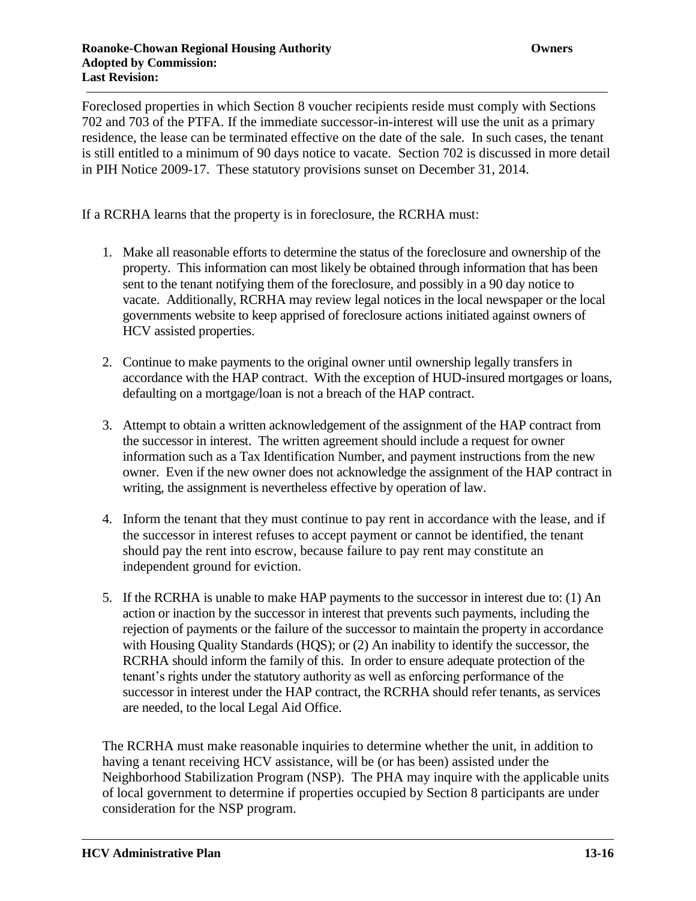Foreclosed properties in which Section 8 voucher recipients reside must comply with Sections 702 and 703 of the PTFA. If the immediate successor-in-interest will use the unit as a primary residence, the lease can be terminated effective on the date of the sale. In such cases, the tenant is still entitled to a minimum of 90 days notice to vacate. Section 702 is discussed in more detail in PIH Notice 2009-17. These statutory provisions sunset on December 31, 2014.

If a RCRHA learns that the property is in foreclosure, the RCRHA must:

- 1. Make all reasonable efforts to determine the status of the foreclosure and ownership of the property. This information can most likely be obtained through information that has been sent to the tenant notifying them of the foreclosure, and possibly in a 90 day notice to vacate. Additionally, RCRHA may review legal notices in the local newspaper or the local governments website to keep apprised of foreclosure actions initiated against owners of HCV assisted properties.
- 2. Continue to make payments to the original owner until ownership legally transfers in accordance with the HAP contract. With the exception of HUD-insured mortgages or loans, defaulting on a mortgage/loan is not a breach of the HAP contract.
- 3. Attempt to obtain a written acknowledgement of the assignment of the HAP contract from the successor in interest. The written agreement should include a request for owner information such as a Tax Identification Number, and payment instructions from the new owner. Even if the new owner does not acknowledge the assignment of the HAP contract in writing, the assignment is nevertheless effective by operation of law.
- 4. Inform the tenant that they must continue to pay rent in accordance with the lease, and if the successor in interest refuses to accept payment or cannot be identified, the tenant should pay the rent into escrow, because failure to pay rent may constitute an independent ground for eviction.
- 5. If the RCRHA is unable to make HAP payments to the successor in interest due to: (1) An action or inaction by the successor in interest that prevents such payments, including the rejection of payments or the failure of the successor to maintain the property in accordance with Housing Quality Standards (HQS); or (2) An inability to identify the successor, the RCRHA should inform the family of this. In order to ensure adequate protection of the tenant's rights under the statutory authority as well as enforcing performance of the successor in interest under the HAP contract, the RCRHA should refer tenants, as services are needed, to the local Legal Aid Office.

The RCRHA must make reasonable inquiries to determine whether the unit, in addition to having a tenant receiving HCV assistance, will be (or has been) assisted under the Neighborhood Stabilization Program (NSP). The PHA may inquire with the applicable units of local government to determine if properties occupied by Section 8 participants are under consideration for the NSP program.